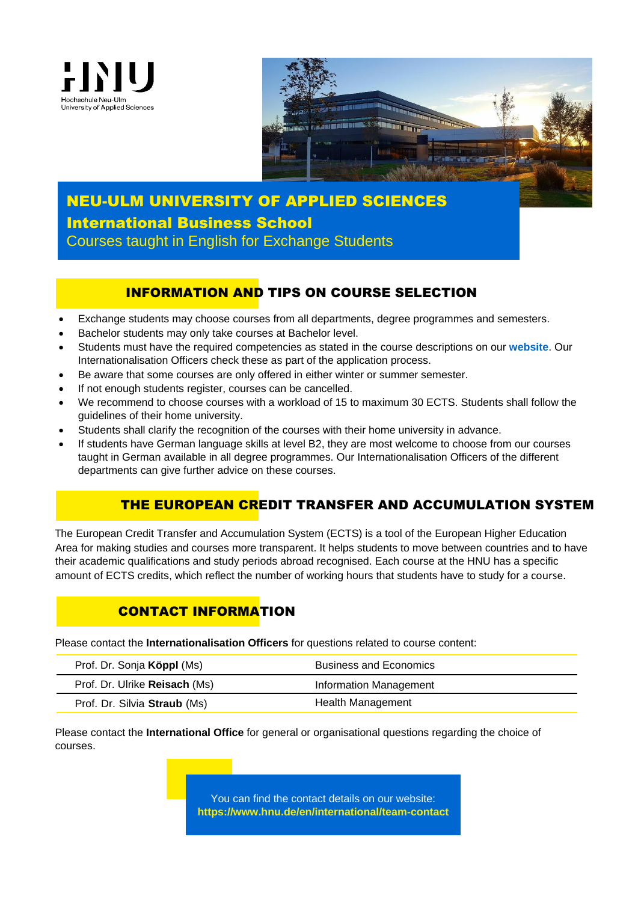



# NEU-ULM UNIVERSITY OF APPLIED SCIENCES International Business School Courses taught in English for Exchange Students

## INFORMATION AND TIPS ON COURSE SELECTION

- Exchange students may choose courses from all departments, degree programmes and semesters.
- Bachelor students may only take courses at Bachelor level.
- Students must have the required competencies as stated in the course descriptions on our **[website](https://www.hnu.de/en/international/international-exchange-students/courses-taught-in-english)**. Our Internationalisation Officers check these as part of the application process.
- Be aware that some courses are only offered in either winter or summer semester.
- If not enough students register, courses can be cancelled.
- We recommend to choose courses with a workload of 15 to maximum 30 ECTS. Students shall follow the guidelines of their home university.
- Students shall clarify the recognition of the courses with their home university in advance.
- If students have German language skills at level B2, they are most welcome to choose from our courses taught in German available in all degree programmes. Our Internationalisation Officers of the different departments can give further advice on these courses.

# THE EUROPEAN CREDIT TRANSFER AND ACCUMULATION SYSTEM

 $\overline{\phantom{0}}$ The European Credit Transfer and Accumulation System (ECTS) is a tool of the European Higher Education Area for making studies and courses more transparent. It helps students to move between countries and to have their academic qualifications and study periods abroad recognised. Each course at the HNU has a specific amount of ECTS credits, which reflect the number of working hours that students have to study for a course.

# CONTACT INFORMATION

Please contact the **Internationalisation Officers** for questions related to course content:

| Prof. Dr. Sonja Köppl (Ms)    | <b>Business and Economics</b> |
|-------------------------------|-------------------------------|
| Prof. Dr. Ulrike Reisach (Ms) | Information Management        |
| Prof. Dr. Silvia Straub (Ms)  | Health Management             |

Please contact the **International Office** for general or organisational questions regarding the choice of courses.

> You can find the contact details on our website: **<https://www.hnu.de/en/international/team-contact>**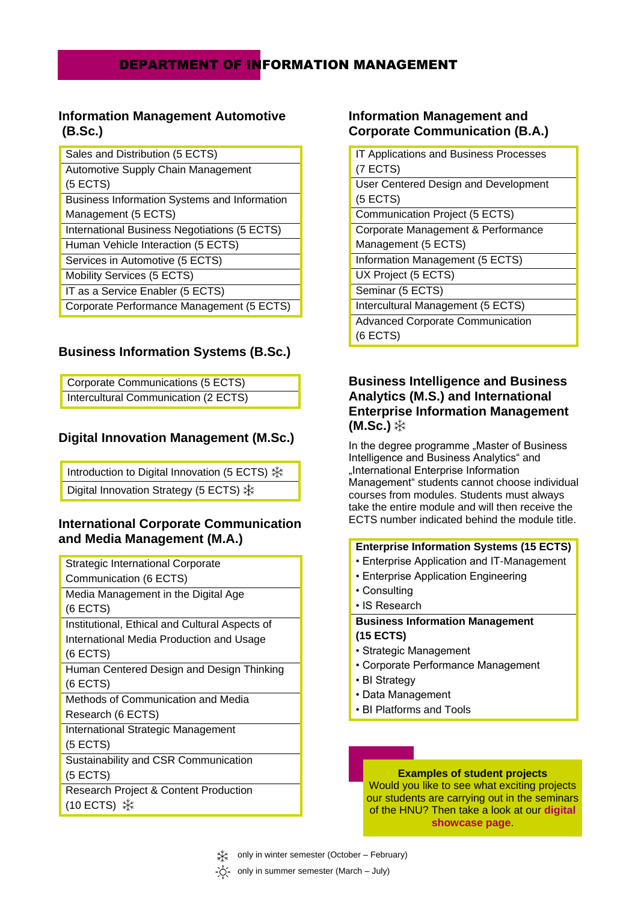## DEPARTMENT OF INFORMATION MANAGEMENT

### **Information Management Automotive (B.Sc.)**

| Sales and Distribution (5 ECTS)              |
|----------------------------------------------|
| Automotive Supply Chain Management           |
| $(5$ ECTS)                                   |
| Business Information Systems and Information |
| Management (5 ECTS)                          |
| International Business Negotiations (5 ECTS) |
| Human Vehicle Interaction (5 ECTS)           |
| Services in Automotive (5 ECTS)              |
| Mobility Services (5 ECTS)                   |
| IT as a Service Enabler (5 ECTS)             |
| Corporate Performance Management (5 ECTS)    |

### **Business Information Systems (B.Sc.)**

| Corporate Communications (5 ECTS)    |
|--------------------------------------|
| Intercultural Communication (2 ECTS) |

### **Digital Innovation Management (M.Sc.)**

Introduction to Digital Innovation (5 ECTS) Digital Innovation Strategy (5 ECTS) **※** 

### **International Corporate Communication and Media Management (M.A.)**

| Strategic International Corporate                |
|--------------------------------------------------|
| Communication (6 ECTS)                           |
| Media Management in the Digital Age              |
| $(6$ ECTS)                                       |
| Institutional, Ethical and Cultural Aspects of   |
| International Media Production and Usage         |
| $(6$ ECTS)                                       |
| Human Centered Design and Design Thinking        |
| (6 ECTS)                                         |
| Methods of Communication and Media               |
| Research (6 ECTS)                                |
| <b>International Strategic Management</b>        |
| (5 ECTS)                                         |
| Sustainability and CSR Communication             |
| $(5$ ECTS)                                       |
| <b>Research Project &amp; Content Production</b> |
|                                                  |

### **Information Management and Corporate Communication (B.A.)**

| <b>IT Applications and Business Processes</b> |
|-----------------------------------------------|
| $(7$ ECTS)                                    |
| User Centered Design and Development          |
| $(5$ ECTS)                                    |
| Communication Project (5 ECTS)                |
| Corporate Management & Performance            |
| Management (5 ECTS)                           |
| Information Management (5 ECTS)               |
| UX Project (5 ECTS)                           |
| Seminar (5 ECTS)                              |
| Intercultural Management (5 ECTS)             |
| <b>Advanced Corporate Communication</b>       |
| $(6$ ECTS)                                    |
|                                               |

### **Business Intelligence and Business Analytics (M.S.) and International Enterprise Information Management (M.Sc.)**

In the degree programme "Master of Business Intelligence and Business Analytics" and "International Enterprise Information Management" students cannot choose individual courses from modules. Students must always take the entire module and will then receive the ECTS number indicated behind the module title.

#### **Enterprise Information Systems (15 ECTS)**

- Enterprise Application and IT-Management
- Enterprise Application Engineering
- Consulting
- IS Research

#### **Business Information Management (15 ECTS)**

- Strategic Management
- Corporate Performance Management
- BI Strategy
- Data Management
- BI Platforms and Tools

#### **Examples of student projects**

Would you like to see what exciting projects our students are carrying out in the seminars of the HNU? Then take a look at our **[digital](https://showcase.hnu.de/) [showcase page](https://showcase.hnu.de/)**.

only in winter semester (October – February)

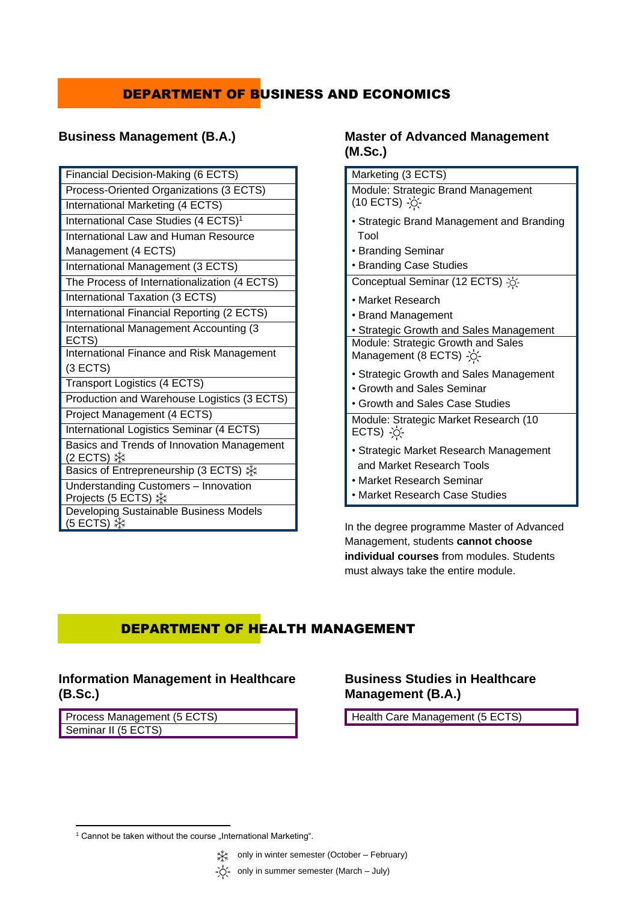# DEPARTMENT OF BUSINESS AND ECONOMICS

## **Business Management (B.A.)**

| Financial Decision-Making (6 ECTS)                          |
|-------------------------------------------------------------|
| Process-Oriented Organizations (3 ECTS)                     |
| International Marketing (4 ECTS)                            |
| International Case Studies (4 ECTS) <sup>1</sup>            |
| International Law and Human Resource                        |
| Management (4 ECTS)                                         |
| International Management (3 ECTS)                           |
| The Process of Internationalization (4 ECTS)                |
| International Taxation (3 ECTS)                             |
| International Financial Reporting (2 ECTS)                  |
| International Management Accounting (3<br>ECTS)             |
| International Finance and Risk Management                   |
| (3 ECTS)                                                    |
| Transport Logistics (4 ECTS)                                |
| Production and Warehouse Logistics (3 ECTS)                 |
| Project Management (4 ECTS)                                 |
| International Logistics Seminar (4 ECTS)                    |
| Basics and Trends of Innovation Management                  |
| Basics of Entrepreneurship (3 ECTS) *                       |
| Understanding Customers - Innovation<br>Projects (5 ECTS) ※ |
| Developing Sustainable Business Models                      |

### **Master of Advanced Management (M.Sc.)**

| Marketing (3 ECTS)                                                                                                                 |
|------------------------------------------------------------------------------------------------------------------------------------|
| Module: Strategic Brand Management<br>(10 ECTS) -0-                                                                                |
| • Strategic Brand Management and Branding<br>Tool<br>• Branding Seminar<br>• Branding Case Studies                                 |
| Conceptual Seminar (12 ECTS) ->                                                                                                    |
| • Market Research<br>• Brand Management<br>• Strategic Growth and Sales Management                                                 |
| Module: Strategic Growth and Sales<br>Management (8 ECTS) -O-                                                                      |
| • Strategic Growth and Sales Management<br>• Growth and Sales Seminar<br>• Growth and Sales Case Studies                           |
| Module: Strategic Market Research (10<br>$ECTS)$ $\phi$ .                                                                          |
| • Strategic Market Research Management<br>and Market Research Tools<br>• Market Research Seminar<br>• Market Research Case Studies |
|                                                                                                                                    |

In the degree programme Master of Advanced Management, students **cannot choose individual courses** from modules. Students must always take the entire module.

# DEPARTMENT OF HEALTH MANAGEMENT

### **Information Management in Healthcare (B.Sc.)**

| Process Management (5 ECTS) |  |
|-----------------------------|--|
| Seminar II (5 ECTS)         |  |

### **Business Studies in Healthcare Management (B.A.)**

Health Care Management (5 ECTS)

**<sup>.</sup>**  $1$  Cannot be taken without the course "International Marketing".